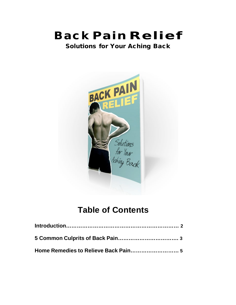# Back Pain Relief

Solutions for Your Aching Back



# **Table of Contents**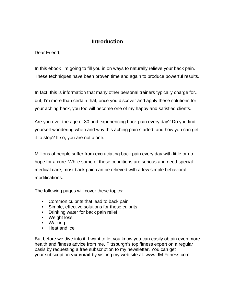# **Introduction**

Dear Friend,

In this ebook I'm going to fill you in on ways to naturally relieve your back pain. These techniques have been proven time and again to produce powerful results.

In fact, this is information that many other personal trainers typically charge for... but, I'm more than certain that, once you discover and apply these solutions for your aching back, you too will become one of my happy and satisfied clients.

Are you over the age of 30 and experiencing back pain every day? Do you find yourself wondering when and why this aching pain started, and how you can get it to stop? If so, you are not alone.

Millions of people suffer from excruciating back pain every day with little or no hope for a cure. While some of these conditions are serious and need special medical care, most back pain can be relieved with a few simple behavioral modifications.

The following pages will cover these topics:

- Common culprits that lead to back pain
- Simple, effective solutions for these culprits
- Drinking water for back pain relief
- Weight loss
- Walking
- Heat and ice

But before we dive into it, I want to let you know you can easily obtain even more health and fitness advice from me, Pittsburgh's top fitness expert on a regular basis by requesting a free subscription to my newsletter. You can get your subscription **via email** by visiting my web site at: www.JM-Fitness.com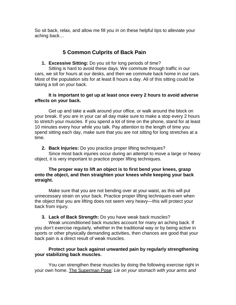So sit back, relax, and allow me fill you in on these helpful tips to alleviate your aching back…

# **5 Common Culprits of Back Pain**

**1. Excessive Sitting:** Do you sit for long periods of time?

Sitting is hard to avoid these days. We commute through traffic in our cars, we sit for hours at our desks, and then we commute back home in our cars. Most of the population sits for at least 8 hours a day. All of this sitting could be taking a toll on your back.

# **It is important to get up at least once every 2 hours to avoid adverse effects on your back.**

Get up and take a walk around your office, or walk around the block on your break. If you are in your car all day make sure to make a stop every 2 hours to stretch your muscles. If you spend a lot of time on the phone, stand for at least 10 minutes every hour while you talk. Pay attention to the length of time you spend sitting each day, make sure that you are not sitting for long stretches at a time.

**2. Back Injuries:** Do you practice proper lifting techniques?

Since most back injuries occur during an attempt to move a large or heavy object, it is very important to practice proper lifting techniques.

# **The proper way to lift an object is to first bend your knees, grasp onto the object, and then straighten your knees while keeping your back straight.**

Make sure that you are not bending over at your waist, as this will put unnecessary strain on your back. Practice proper lifting techniques even when the object that you are lifting does not seem very heavy—this will protect your back from injury.

# **3. Lack of Back Strength:** Do you have weak back muscles?

Weak unconditioned back muscles account for many an aching back. If you don't exercise regularly, whether in the traditional way or by being active in sports or other physically demanding activities, then chances are good that your back pain is a direct result of weak muscles.

# **Protect your back against unwanted pain by regularly strengthening your stabilizing back muscles.**

You can strengthen these muscles by doing the following exercise right in your own home. The Superman Pose: *Lie on your stomach with your arms and*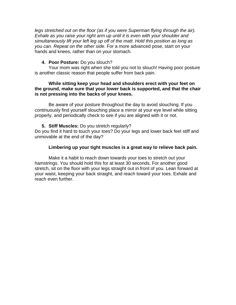legs stretched out on the floor (as if you were Superman flying through the air). *Exhale as you raise your right arm up until it is even with your shoulder and simultaneously lift your left leg up off of the matt. Hold this position as long as you can. Repeat on the other side.* For a more advanced pose, start on your hands and knees, rather than on your stomach.

#### **4. Poor Posture:** Do you slouch?

Your mom was right when she told you not to slouch! Having poor posture is another classic reason that people suffer from back pain.

#### **While sitting keep your head and shoulders erect with your feet on the ground, make sure that your lower back is supported, and that the chair is not pressing into the backs of your knees.**

Be aware of your posture throughout the day to avoid slouching. If you continuously find yourself slouching place a mirror at your eye level while sitting properly, and periodically check to see if you are aligned with it or not.

#### **5. Stiff Muscles:** Do you stretch regularly?

Do you find it hard to touch your toes? Do your legs and lower back feel stiff and unmovable at the end of the day?

#### **Limbering up your tight muscles is a great way to relieve back pain.**

Make it a habit to reach down towards your toes to stretch out your hamstrings. You should hold this for at least 30 seconds. For another good stretch, sit on the floor with your legs straight out in front of you. Lean forward at your waist, keeping your back straight, and reach toward your toes. Exhale and reach even further.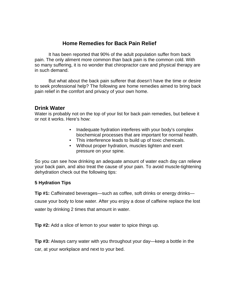# **Home Remedies for Back Pain Relief**

It has been reported that 90% of the adult population suffer from back pain. The only aliment more common than back pain is the common cold. With so many suffering, it is no wonder that chiropractor care and physical therapy are in such demand.

But what about the back pain sufferer that doesn't have the time or desire to seek professional help? The following are home remedies aimed to bring back pain relief in the comfort and privacy of your own home.

# **Drink Water**

Water is probably not on the top of your list for back pain remedies, but believe it or not it works. Here's how:

- Inadequate hydration interferes with your body's complex biochemical processes that are important for normal health.
- This interference leads to build up of toxic chemicals.
- Without proper hydration, muscles tighten and exert pressure on your spine.

So you can see how drinking an adequate amount of water each day can relieve your back pain, and also treat the cause of your pain. To avoid muscle-tightening dehydration check out the following tips:

# **5 Hydration Tips**

**Tip #1:** Caffeinated beverages—such as coffee, soft drinks or energy drinks—

cause your body to lose water. After you enjoy a dose of caffeine replace the lost water by drinking 2 times that amount in water.

**Tip #2:** Add a slice of lemon to your water to spice things up.

**Tip #3:** Always carry water with you throughout your day—keep a bottle in the car, at your workplace and next to your bed.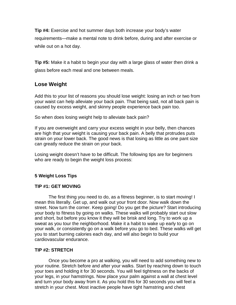**Tip #4:** Exercise and hot summer days both increase your body's water requirements—make a mental note to drink before, during and after exercise or while out on a hot day.

**Tip #5:** Make it a habit to begin your day with a large glass of water then drink a glass before each meal and one between meals.

# **Lose Weight**

Add this to your list of reasons you should lose weight: losing an inch or two from your waist can help alleviate your back pain. That being said, not all back pain is caused by excess weight, and skinny people experience back pain too.

So when does losing weight help to alleviate back pain?

If you are overweight and carry your excess weight in your belly, then chances are high that your weight is causing your back pain. A belly that protrudes puts strain on your lower back. The good news is that losing as little as one pant size can greatly reduce the strain on your back.

Losing weight doesn't have to be difficult. The following tips are for beginners who are ready to begin the weight loss process:

# **5 Weight Loss Tips**

#### **TIP #1: GET MOVING**

The first thing you need to do, as a fitness beginner, is to start moving! I mean this literally. Get up, and walk out your front door. Now walk down the street. Now turn the corner. Keep going! Do you get the picture? Start introducing your body to fitness by going on walks. These walks will probably start out slow and short, but before you know it they will be brisk and long. Try to work up a sweat as you tour the neighborhood. Make it a habit to wake up early to go on your walk, or consistently go on a walk before you go to bed. These walks will get you to start burning calories each day, and will also begin to build your cardiovascular endurance.

#### **TIP #2: STRETCH**

Once you become a pro at walking, you will need to add something new to your routine. Stretch before and after your walks. Start by reaching down to touch your toes and holding it for 30 seconds. You will feel tightness on the backs of your legs, in your hamstrings. Now place your palm against a wall at chest level and turn your body away from it. As you hold this for 30 seconds you will feel a stretch in your chest. Most inactive people have tight hamstring and chest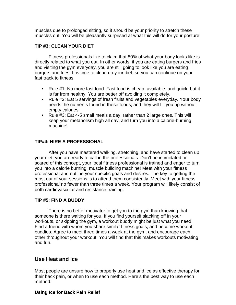muscles due to prolonged sitting, so it should be your priority to stretch these muscles out. You will be pleasantly surprised at what this will do for your posture!

#### **TIP #3: CLEAN YOUR DIET**

Fitness professionals like to claim that 80% of what your body looks like is directly related to what you eat. In other words, if you are eating burgers and fries and visiting the gym everyday, you are still going to look like you are eating burgers and fries! It is time to clean up your diet, so you can continue on your fast track to fitness.

- Rule #1: No more fast food. Fast food is cheap, available, and quick, but it is far from healthy. You are better off avoiding it completely.
- Rule #2: Eat 5 servings of fresh fruits and vegetables everyday. Your body needs the nutrients found in these foods, and they will fill you up without empty calories.
- Rule #3: Eat 4-5 small meals a day, rather than 2 large ones. This will keep your metabolism high all day, and turn you into a calorie-burning machine!

# **TIP#4: HIRE A PROFESSIONAL**

After you have mastered walking, stretching, and have started to clean up your diet, you are ready to call in the professionals. Don't be intimidated or scared of this concept, your local fitness professional is trained and eager to turn you into a calorie burning, muscle building machine! Meet with your fitness professional and outline your specific goals and desires. The key to getting the most out of your sessions is to attend them consistently. Meet with your fitness professional no fewer than three times a week. Your program will likely consist of both cardiovascular and resistance training.

#### **TIP #5: FIND A BUDDY**

There is no better motivator to get you to the gym than knowing that someone is there waiting for you. If you find yourself slacking off in your workouts, or skipping the gym, a workout buddy might be just what you need. Find a friend with whom you share similar fitness goals, and become workout buddies. Agree to meet three times a week at the gym, and encourage each other throughout your workout. You will find that this makes workouts motivating and fun.

# **Use Heat and Ice**

Most people are unsure how to properly use heat and ice as effective therapy for their back pain, or when to use each method. Here's the best way to use each method:

#### **Using Ice for Back Pain Relief**